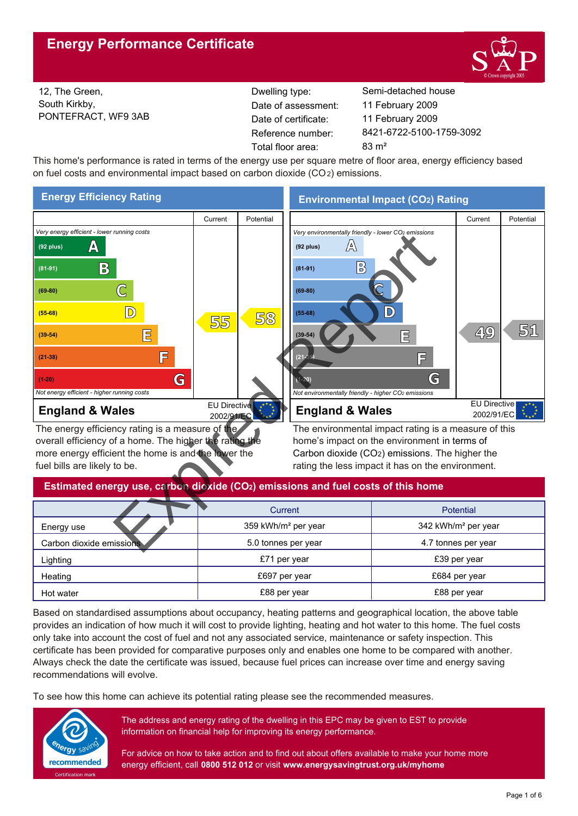

12, The Green, South Kirkby, PONTEFRACT, WF9 3AB Reference number: Date of certificate: Total floor area: 83 m<sup>2</sup> Date of assessment:

Dwelling type: Semi-detached house 8421-6722-5100-1759-3092 11 February 2009 11 February 2009

This home's performance is rated in terms of the energy use per square metre of floor area, energy efficiency based on fuel costs and environmental impact based on carbon dioxide (CO2) emissions.



overall efficiency of a home. The higher the rating the more energy efficient the home is and the lower the fuel bills are likely to be.

home's impact on the environment in terms of Carbon dioxide (CO2) emissions. The higher the rating the less impact it has on the environment.

## **Estimated energy use, carbon dioxide (CO2) emissions and fuel costs of this home**

|                          | Current                         | <b>Potential</b>                |
|--------------------------|---------------------------------|---------------------------------|
| Energy use               | 359 kWh/m <sup>2</sup> per year | 342 kWh/m <sup>2</sup> per year |
| Carbon dioxide emissions | 5.0 tonnes per year             | 4.7 tonnes per year             |
| Lighting                 | £71 per year                    | £39 per year                    |
| Heating                  | £697 per year                   | £684 per year                   |
| Hot water                | £88 per year                    | £88 per year                    |

Based on standardised assumptions about occupancy, heating patterns and geographical location, the above table provides an indication of how much it will cost to provide lighting, heating and hot water to this home. The fuel costs only take into account the cost of fuel and not any associated service, maintenance or safety inspection. This certificate has been provided for comparative purposes only and enables one home to be compared with another. Always check the date the certificate was issued, because fuel prices can increase over time and energy saving recommendations will evolve.

To see how this home can achieve its potential rating please see the recommended measures.



The address and energy rating of the dwelling in this EPC may be given to EST to provide information on financial help for improving its energy performance.

For advice on how to take action and to find out about offers available to make your home more energy efficient, call **0800 512 012** or visit **www.energysavingtrust.org.uk/myhome**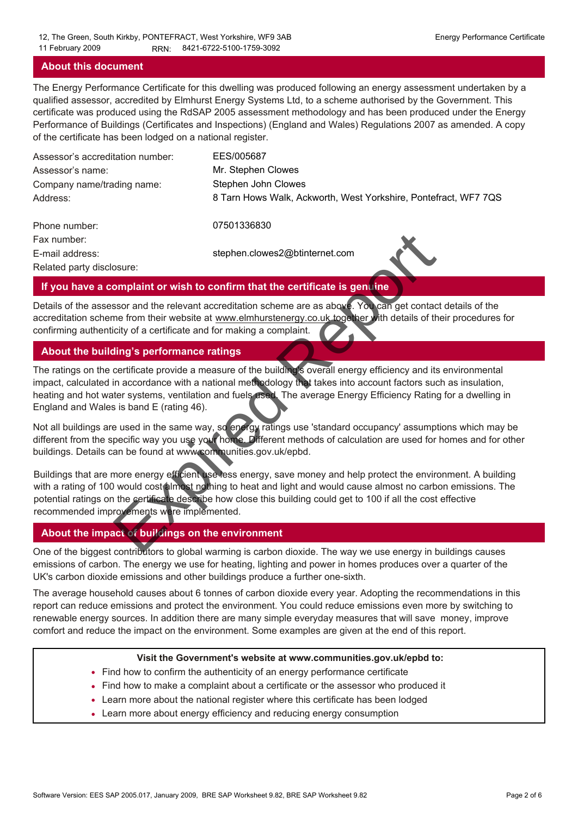#### **About this document**

The Energy Performance Certificate for this dwelling was produced following an energy assessment undertaken by a qualified assessor, accredited by Elmhurst Energy Systems Ltd, to a scheme authorised by the Government. This certificate was produced using the RdSAP 2005 assessment methodology and has been produced under the Energy Performance of Buildings (Certificates and Inspections) (England and Wales) Regulations 2007 as amended. A copy of the certificate has been lodged on a national register.

| Assessor's accreditation number: | EES/005687                                                      |
|----------------------------------|-----------------------------------------------------------------|
| Assessor's name:                 | Mr. Stephen Clowes                                              |
| Company name/trading name:       | Stephen John Clowes                                             |
| Address:                         | 8 Tarn Hows Walk, Ackworth, West Yorkshire, Pontefract, WF7 7QS |
| Phone number:                    | 07501336830                                                     |

Fax number: E-mail address: Related party disclosure:

stephen.clowes2@btinternet.com



#### **If you have a complaint or wish to confirm that the certificate is genuine**

Details of the assessor and the relevant accreditation scheme are as above. You can get contact details of the accreditation scheme from their website at www.elmhurstenergy.co.uk together with details of their procedures for confirming authenticity of a certificate and for making a complaint.

## **About the building's performance ratings**

The ratings on the certificate provide a measure of the building's overall energy efficiency and its environmental impact, calculated in accordance with a national methodology that takes into account factors such as insulation, heating and hot water systems, ventilation and fuels used. The average Energy Efficiency Rating for a dwelling in England and Wales is band E (rating 46).

Not all buildings are used in the same way, so energy ratings use 'standard occupancy' assumptions which may be different from the specific way you use your home. Different methods of calculation are used for homes and for other buildings. Details can be found at www.communities.gov.uk/epbd.

Buildings that are more energy efficient use less energy, save money and help protect the environment. A building with a rating of 100 would cost almost nothing to heat and light and would cause almost no carbon emissions. The potential ratings on the certificate describe how close this building could get to 100 if all the cost effective recommended improvements were implemented. stephen.clowes2@btinternet.com<br>
stephen.clowes2@btinternet.com<br>
stephen.clowes2@btinternet.com<br>
stephen.clowes2@btinternet.com<br>
stephen.com<br>
stephen.com<br>
stephen.com<br>
stephen.com<br>
stephen.com<br>
stephen.com<br>
for a certificat

## **About the impact of buildings on the environment**

One of the biggest contributors to global warming is carbon dioxide. The way we use energy in buildings causes emissions of carbon. The energy we use for heating, lighting and power in homes produces over a quarter of the UK's carbon dioxide emissions and other buildings produce a further one-sixth.

The average household causes about 6 tonnes of carbon dioxide every year. Adopting the recommendations in this report can reduce emissions and protect the environment. You could reduce emissions even more by switching to renewable energy sources. In addition there are many simple everyday measures that will save money, improve comfort and reduce the impact on the environment. Some examples are given at the end of this report.

#### **Visit the Government's website at www.communities.gov.uk/epbd to:**

- Find how to confirm the authenticity of an energy performance certificate
- Find how to make a complaint about a certificate or the assessor who produced it •
- Learn more about the national register where this certificate has been lodged •
- Learn more about energy efficiency and reducing energy consumption •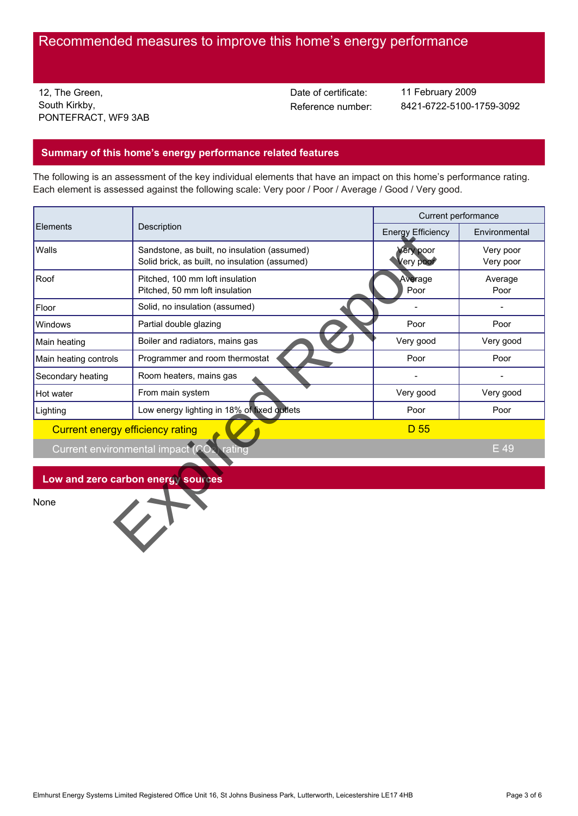# Recommended measures to improve this home's energy performance

12, The Green, South Kirkby, PONTEFRACT, WF9 3AB Date of certificate:

Reference number: 8421-6722-5100-1759-3092 11 February 2009

## **Summary of this home's energy performance related features**

The following is an assessment of the key individual elements that have an impact on this home's performance rating. Each element is assessed against the following scale: Very poor / Poor / Average / Good / Very good.

| Elements                         | Description                                                                                    | Current performance      |                        |  |
|----------------------------------|------------------------------------------------------------------------------------------------|--------------------------|------------------------|--|
|                                  |                                                                                                | <b>Energy Efficiency</b> | Environmental          |  |
| Walls                            | Sandstone, as built, no insulation (assumed)<br>Solid brick, as built, no insulation (assumed) | Very poor<br>Very poor   | Very poor<br>Very poor |  |
| Roof                             | Pitched, 100 mm loft insulation<br>Pitched, 50 mm loft insulation                              | Average<br>Poor          | Average<br>Poor        |  |
| Floor                            | Solid, no insulation (assumed)                                                                 |                          |                        |  |
| Windows                          | Partial double glazing                                                                         | Poor                     | Poor                   |  |
| Main heating                     | Boiler and radiators, mains gas                                                                | Very good                | Very good              |  |
| Main heating controls            | Programmer and room thermostat                                                                 | Poor                     | Poor                   |  |
| Secondary heating                | Room heaters, mains gas                                                                        |                          | $\blacksquare$         |  |
| Hot water                        | From main system                                                                               | Very good                | Very good              |  |
| Lighting                         | Low energy lighting in 18% of fixed outlets                                                    | Poor                     | Poor                   |  |
| Current energy efficiency rating |                                                                                                | D 55                     |                        |  |
|                                  | Current environmental impact (CO<br>rating                                                     |                          | E 49                   |  |
|                                  |                                                                                                |                          |                        |  |
|                                  | Low and zero carbon energy sources                                                             |                          |                        |  |
| None                             |                                                                                                |                          |                        |  |
|                                  |                                                                                                |                          |                        |  |
|                                  |                                                                                                |                          |                        |  |
|                                  |                                                                                                |                          |                        |  |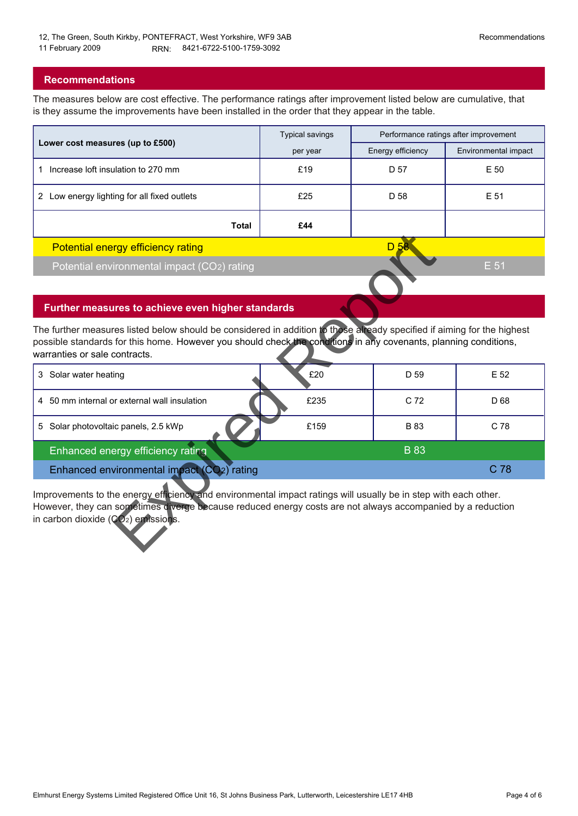## **Recommendations**

The measures below are cost effective. The performance ratings after improvement listed below are cumulative, that is they assume the improvements have been installed in the order that they appear in the table.

|                                                | <b>Typical savings</b> | Performance ratings after improvement |                      |
|------------------------------------------------|------------------------|---------------------------------------|----------------------|
| Lower cost measures (up to £500)               | per year               | Energy efficiency                     | Environmental impact |
| Increase loft insulation to 270 mm             | £19                    | D 57                                  | E 50                 |
| Low energy lighting for all fixed outlets<br>2 | £25                    | D 58                                  | E 51                 |
| Total                                          | £44                    |                                       |                      |
| <b>Potential energy efficiency rating</b>      |                        | D 58                                  |                      |
| Potential environmental impact (CO2) rating    |                        |                                       | E 51                 |

## **Further measures to achieve even higher standards**

| Potential energy efficiency rating                                                                                                                                                                                                                                           |      | D <sub>58</sub> |                 |  |
|------------------------------------------------------------------------------------------------------------------------------------------------------------------------------------------------------------------------------------------------------------------------------|------|-----------------|-----------------|--|
| Potential environmental impact (CO2) rating                                                                                                                                                                                                                                  |      |                 | E 51            |  |
|                                                                                                                                                                                                                                                                              |      |                 |                 |  |
| Further measures to achieve even higher standards                                                                                                                                                                                                                            |      |                 |                 |  |
| The further measures listed below should be considered in addition to those already specified if aiming for the highest<br>possible standards for this home. However you should check the conditions in any covenants, planning conditions,<br>warranties or sale contracts. |      |                 |                 |  |
| Solar water heating<br>3                                                                                                                                                                                                                                                     | £20  | D 59            | E 52            |  |
| 4 50 mm internal or external wall insulation                                                                                                                                                                                                                                 | £235 | C <sub>72</sub> | D <sub>68</sub> |  |
| Solar photovoltaic panels, 2.5 kWp<br>5                                                                                                                                                                                                                                      | £159 | <b>B</b> 83     | C 78            |  |
| Enhanced energy efficiency rating                                                                                                                                                                                                                                            |      | <b>B</b> 83     |                 |  |
| Enhanced environmental impact (CO <sub>2</sub> ) rating                                                                                                                                                                                                                      |      |                 | C 78            |  |
| Improvements to the energy efficiency and environmental impact ratings will usually be in step with each other.<br>However, they can sometimes diverge because reduced energy costs are not always accompanied by a reduction<br>in carbon dioxide $(CO2)$ emissions.        |      |                 |                 |  |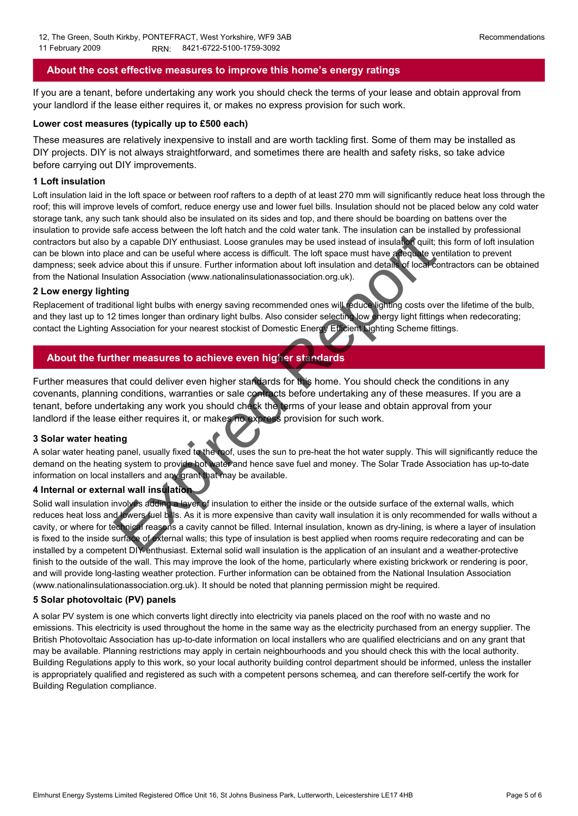## **About the cost effective measures to improve this home's energy ratings**

If you are a tenant, before undertaking any work you should check the terms of your lease and obtain approval from your landlord if the lease either requires it, or makes no express provision for such work.

#### **Lower cost measures (typically up to £500 each)**

These measures are relatively inexpensive to install and are worth tackling first. Some of them may be installed as DIY projects. DIY is not always straightforward, and sometimes there are health and safety risks, so take advice before carrying out DIY improvements.

#### **1 Loft insulation**

Loft insulation laid in the loft space or between roof rafters to a depth of at least 270 mm will significantly reduce heat loss through the roof; this will improve levels of comfort, reduce energy use and lower fuel bills. Insulation should not be placed below any cold water storage tank, any such tank should also be insulated on its sides and top, and there should be boarding on battens over the insulation to provide safe access between the loft hatch and the cold water tank. The insulation can be installed by professional contractors but also by a capable DIY enthusiast. Loose granules may be used instead of insulation quilt; this form of loft insulation can be blown into place and can be useful where access is difficult. The loft space must have adequate ventilation to prevent dampness; seek advice about this if unsure. Further information about loft insulation and details of local contractors can be obtained from the National Insulation Association (www.nationalinsulationassociation.org.uk).

#### **2 Low energy lighting**

Replacement of traditional light bulbs with energy saving recommended ones will reduce lighting costs over the lifetime of the bulb, and they last up to 12 times longer than ordinary light bulbs. Also consider selecting low energy light fittings when redecorating; contact the Lighting Association for your nearest stockist of Domestic Energy Efficient Lighting Scheme fittings.

## **About the further measures to achieve even higher standards**

Further measures that could deliver even higher standards for this home. You should check the conditions in any covenants, planning conditions, warranties or sale contracts before undertaking any of these measures. If you are a tenant, before undertaking any work you should check the terms of your lease and obtain approval from your landlord if the lease either requires it, or makes no express provision for such work.

#### **3 Solar water heating**

A solar water heating panel, usually fixed to the roof, uses the sun to pre-heat the hot water supply. This will significantly reduce the demand on the heating system to provide hot water and hence save fuel and money. The Solar Trade Association has up-to-date information on local installers and any grant that may be available.

## **4 Internal or external wall insulation**

Solid wall insulation involves adding a layer of insulation to either the inside or the outside surface of the external walls, which reduces heat loss and lowers fuel bills. As it is more expensive than cavity wall insulation it is only recommended for walls without a cavity, or where for technical reasons a cavity cannot be filled. Internal insulation, known as dry-lining, is where a layer of insulation is fixed to the inside surface of external walls; this type of insulation is best applied when rooms require redecorating and can be installed by a competent DIY enthusiast. External solid wall insulation is the application of an insulant and a weather-protective finish to the outside of the wall. This may improve the look of the home, particularly where existing brickwork or rendering is poor, and will provide long-lasting weather protection. Further information can be obtained from the National Insulation Association (www.nationalinsulationassociation.org.uk). It should be noted that planning permission might be required. sale access between the tot include the control water anni. The mission of an insulation of an isolation of the control water and the control water and the control water access is difficult. The loft space must have a pequ

#### **5 Solar photovoltaic (PV) panels**

A solar PV system is one which converts light directly into electricity via panels placed on the roof with no waste and no emissions. This electricity is used throughout the home in the same way as the electricity purchased from an energy supplier. The British Photovoltaic Association has up-to-date information on local installers who are qualified electricians and on any grant that may be available. Planning restrictions may apply in certain neighbourhoods and you should check this with the local authority. Building Regulations apply to this work, so your local authority building control department should be informed, unless the installer is appropriately qualified and registered as such with a competent persons schemeą, and can therefore self-certify the work for Building Regulation compliance.